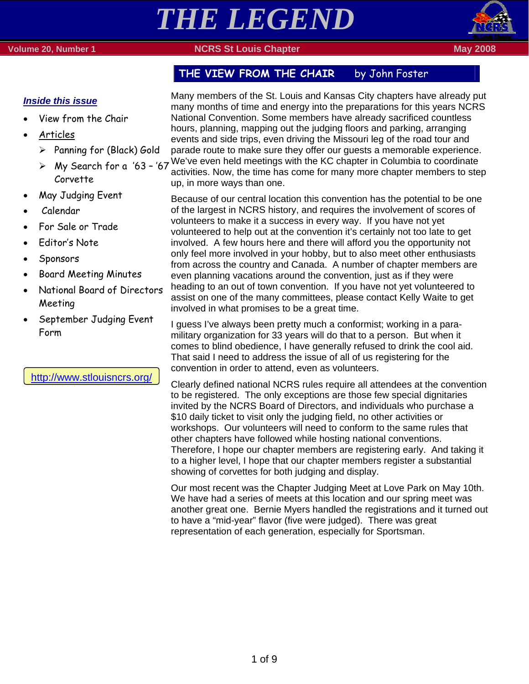



## THE VIEW FROM THE CHAIR by John Foster

### *Inside this issue*

- View from the Chair
- Articles
	- $\triangleright$  Panning for (Black) Gold
	- Corvette
- May Judging Event
- Calendar
- For Sale or Trade
- Editor's Note
- Sponsors
- Board Meeting Minutes
- National Board of Directors Meeting
- September Judging Event Form

http://www.stlouisncrs.org/

Many members of the St. Louis and Kansas City chapters have already put many months of time and energy into the preparations for this years NCRS National Convention. Some members have already sacrificed countless hours, planning, mapping out the judging floors and parking, arranging events and side trips, even driving the Missouri leg of the road tour and parade route to make sure they offer our guests a memorable experience.

 $\geq$  My Search for a '63 - '67 We've even held meetings with the KC chapter in Columbia to coordinate  $\geq$ activities. Now, the time has come for many more chapter members to step up, in more ways than one.

> Because of our central location this convention has the potential to be one of the largest in NCRS history, and requires the involvement of scores of volunteers to make it a success in every way. If you have not yet volunteered to help out at the convention it's certainly not too late to get involved. A few hours here and there will afford you the opportunity not only feel more involved in your hobby, but to also meet other enthusiasts from across the country and Canada. A number of chapter members are even planning vacations around the convention, just as if they were heading to an out of town convention. If you have not yet volunteered to assist on one of the many committees, please contact Kelly Waite to get involved in what promises to be a great time.

I guess I've always been pretty much a conformist; working in a paramilitary organization for 33 years will do that to a person. But when it comes to blind obedience, I have generally refused to drink the cool aid. That said I need to address the issue of all of us registering for the convention in order to attend, even as volunteers.

Clearly defined national NCRS rules require all attendees at the convention to be registered. The only exceptions are those few special dignitaries invited by the NCRS Board of Directors, and individuals who purchase a \$10 daily ticket to visit only the judging field, no other activities or workshops. Our volunteers will need to conform to the same rules that other chapters have followed while hosting national conventions. Therefore, I hope our chapter members are registering early. And taking it to a higher level, I hope that our chapter members register a substantial showing of corvettes for both judging and display.

Our most recent was the Chapter Judging Meet at Love Park on May 10th. We have had a series of meets at this location and our spring meet was another great one. Bernie Myers handled the registrations and it turned out to have a "mid-year" flavor (five were judged). There was great representation of each generation, especially for Sportsman.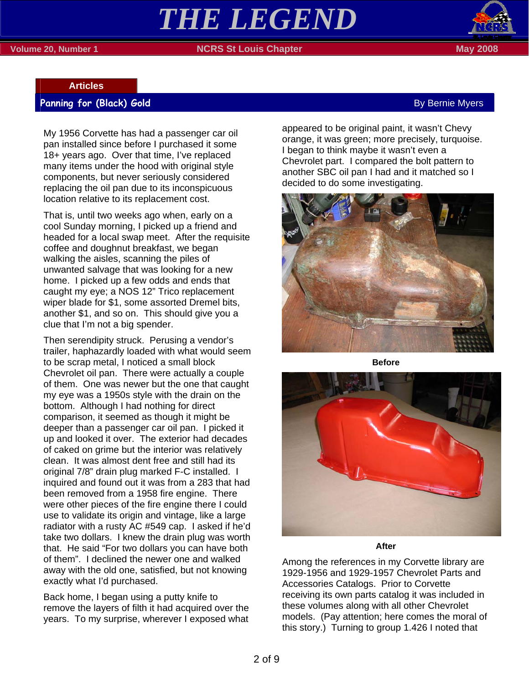# *THE LEGEND*

#### **Volume 20, Number 1 NGRS St Louis Chapter May 2008 May 2008**



#### **Articles**

#### **Panning for (Black) Gold** By Bernie Myers and By Bernie Myers and By Bernie Myers and By Bernie Myers and By Bernie Myers

My 1956 Corvette has had a passenger car oil pan installed since before I purchased it some 18+ years ago. Over that time, I've replaced many items under the hood with original style components, but never seriously considered replacing the oil pan due to its inconspicuous location relative to its replacement cost.

That is, until two weeks ago when, early on a cool Sunday morning, I picked up a friend and headed for a local swap meet. After the requisite coffee and doughnut breakfast, we began walking the aisles, scanning the piles of unwanted salvage that was looking for a new home. I picked up a few odds and ends that caught my eye; a NOS 12" Trico replacement wiper blade for \$1, some assorted Dremel bits, another \$1, and so on. This should give you a clue that I'm not a big spender.

Then serendipity struck. Perusing a vendor's trailer, haphazardly loaded with what would seem to be scrap metal, I noticed a small block Chevrolet oil pan. There were actually a couple of them. One was newer but the one that caught my eye was a 1950s style with the drain on the bottom. Although I had nothing for direct comparison, it seemed as though it might be deeper than a passenger car oil pan. I picked it up and looked it over. The exterior had decades of caked on grime but the interior was relatively clean. It was almost dent free and still had its original 7/8" drain plug marked F-C installed. I inquired and found out it was from a 283 that had been removed from a 1958 fire engine. There were other pieces of the fire engine there I could use to validate its origin and vintage, like a large radiator with a rusty AC #549 cap. I asked if he'd take two dollars. I knew the drain plug was worth that. He said "For two dollars you can have both of them". I declined the newer one and walked away with the old one, satisfied, but not knowing exactly what I'd purchased.

Back home, I began using a putty knife to remove the layers of filth it had acquired over the years. To my surprise, wherever I exposed what

appeared to be original paint, it wasn't Chevy orange, it was green; more precisely, turquoise. I began to think maybe it wasn't even a Chevrolet part. I compared the bolt pattern to another SBC oil pan I had and it matched so I decided to do some investigating.



**Before** 



**After** 

Among the references in my Corvette library are 1929-1956 and 1929-1957 Chevrolet Parts and Accessories Catalogs. Prior to Corvette receiving its own parts catalog it was included in these volumes along with all other Chevrolet models. (Pay attention; here comes the moral of this story.) Turning to group 1.426 I noted that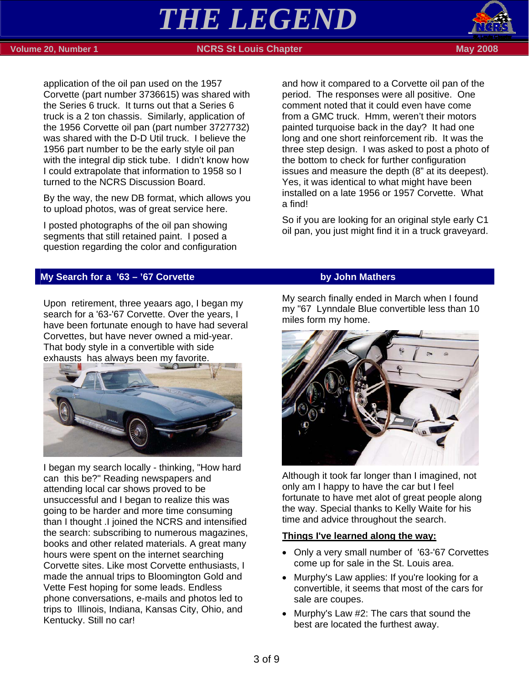# *THE LEGEND*





#### **Volume 20, Number 1 NCRS St Louis Chapter May 2008**

application of the oil pan used on the 1957 Corvette (part number 3736615) was shared with the Series 6 truck. It turns out that a Series 6 truck is a 2 ton chassis. Similarly, application of the 1956 Corvette oil pan (part number 3727732) was shared with the D-D Util truck. I believe the 1956 part number to be the early style oil pan with the integral dip stick tube. I didn't know how I could extrapolate that information to 1958 so I turned to the NCRS Discussion Board.

By the way, the new DB format, which allows you to upload photos, was of great service here.

I posted photographs of the oil pan showing segments that still retained paint. I posed a question regarding the color and configuration

**My Search for a '63 – '67 Corvette by John Mathers** *by John Mathers* 

Upon retirement, three yeaars ago, I began my search for a '63-'67 Corvette. Over the years, I have been fortunate enough to have had several Corvettes, but have never owned a mid-year. That body style in a convertible with side exhausts has always been my favorite.



I began my search locally - thinking, "How hard can this be?" Reading newspapers and attending local car shows proved to be unsuccessful and I began to realize this was going to be harder and more time consuming than I thought .I joined the NCRS and intensified the search: subscribing to numerous magazines, books and other related materials. A great many hours were spent on the internet searching Corvette sites. Like most Corvette enthusiasts, I made the annual trips to Bloomington Gold and Vette Fest hoping for some leads. Endless phone conversations, e-mails and photos led to trips to Illinois, Indiana, Kansas City, Ohio, and Kentucky. Still no car!

and how it compared to a Corvette oil pan of the period. The responses were all positive. One comment noted that it could even have come from a GMC truck. Hmm, weren't their motors painted turquoise back in the day? It had one long and one short reinforcement rib. It was the three step design. I was asked to post a photo of the bottom to check for further configuration issues and measure the depth (8" at its deepest). Yes, it was identical to what might have been installed on a late 1956 or 1957 Corvette. What a find!

So if you are looking for an original style early C1 oil pan, you just might find it in a truck graveyard.

My search finally ended in March when I found my "67 Lynndale Blue convertible less than 10 miles form my home.



Although it took far longer than I imagined, not only am I happy to have the car but I feel fortunate to have met alot of great people along the way. Special thanks to Kelly Waite for his time and advice throughout the search.

#### **Things I've learned along the way:**

- Only a very small number of '63-'67 Corvettes come up for sale in the St. Louis area.
- Murphy's Law applies: If you're looking for a convertible, it seems that most of the cars for sale are coupes.
- Murphy's Law #2: The cars that sound the best are located the furthest away.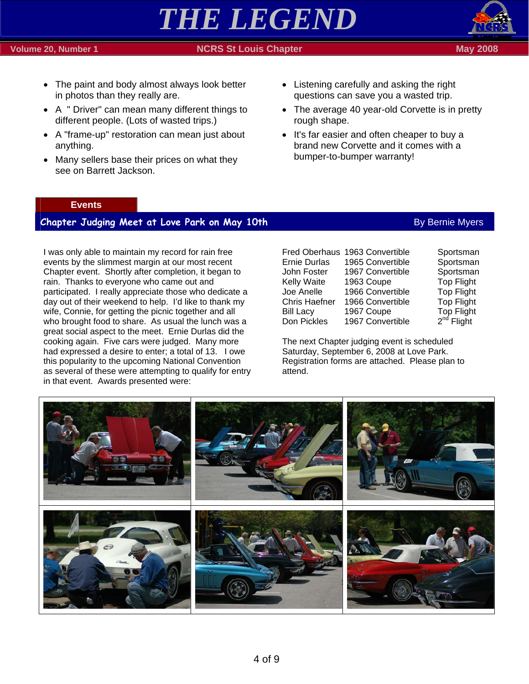#### 4 of 9

### **Volume 20, Number 1 NCRS St Louis Chapter May 2008**

- The paint and body almost always look better in photos than they really are.
- A " Driver" can mean many different things to different people. (Lots of wasted trips.)
- A "frame-up" restoration can mean just about anything.
- Many sellers base their prices on what they see on Barrett Jackson.
- Listening carefully and asking the right questions can save you a wasted trip.
- The average 40 year-old Corvette is in pretty rough shape.
- It's far easier and often cheaper to buy a brand new Corvette and it comes with a bumper-to-bumper warranty!

#### **Events**

#### **Chapter Judging Meet at Love Park on May 10th** By Bernie Myers By Bernie Myers

I was only able to maintain my record for rain free events by the slimmest margin at our most recent Chapter event. Shortly after completion, it began to rain. Thanks to everyone who came out and participated. I really appreciate those who dedicate a day out of their weekend to help. I'd like to thank my wife, Connie, for getting the picnic together and all who brought food to share. As usual the lunch was a great social aspect to the meet. Ernie Durlas did the cooking again. Five cars were judged. Many more had expressed a desire to enter; a total of 13. I owe this popularity to the upcoming National Convention as several of these were attempting to qualify for entry in that event. Awards presented were:

|                      | Fred Oberhaus 1963 Convertible | Sportsman         |
|----------------------|--------------------------------|-------------------|
| <b>Ernie Durlas</b>  | 1965 Convertible               | Sportsman         |
| John Foster          | 1967 Convertible               | Sportsman         |
| <b>Kelly Waite</b>   | 1963 Coupe                     | <b>Top Flight</b> |
| Joe Anelle           | 1966 Convertible               | <b>Top Flight</b> |
| <b>Chris Haefner</b> | 1966 Convertible               | <b>Top Flight</b> |
| <b>Bill Lacy</b>     | 1967 Coupe                     | <b>Top Flight</b> |
| Don Pickles          | 1967 Convertible               | $2^{nd}$ Flight   |

The next Chapter judging event is scheduled Saturday, September 6, 2008 at Love Park. Registration forms are attached. Please plan to attend.





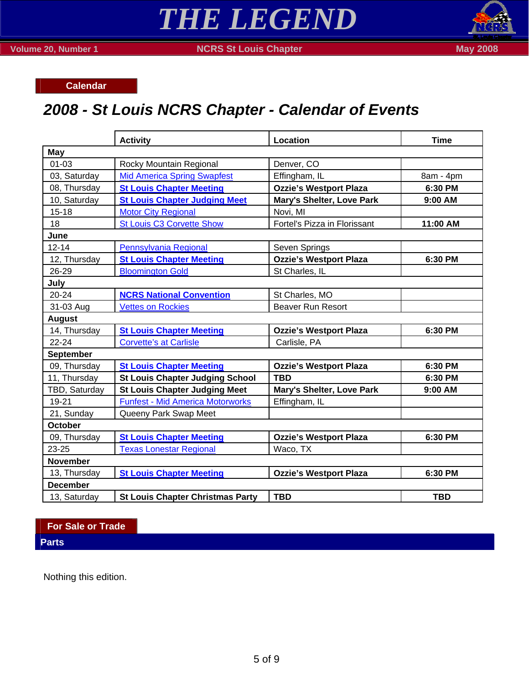



**Volume 20, Number 1 NCRS St Louis Chapter May 2008 May 2008** 

**Calendar** 

# *2008 - St Louis NCRS Chapter - Calendar of Events*

|                  | <b>Activity</b>                         | Location                      | <b>Time</b> |
|------------------|-----------------------------------------|-------------------------------|-------------|
| May              |                                         |                               |             |
| $01 - 03$        | Rocky Mountain Regional                 | Denver, CO                    |             |
| 03, Saturday     | <b>Mid America Spring Swapfest</b>      | Effingham, IL                 | 8am - 4pm   |
| 08, Thursday     | <b>St Louis Chapter Meeting</b>         | <b>Ozzie's Westport Plaza</b> | 6:30 PM     |
| 10, Saturday     | <b>St Louis Chapter Judging Meet</b>    | Mary's Shelter, Love Park     | 9:00 AM     |
| $15 - 18$        | <b>Motor City Regional</b>              | Novi, MI                      |             |
| 18               | <b>St Louis C3 Corvette Show</b>        | Fortel's Pizza in Florissant  | 11:00 AM    |
| June             |                                         |                               |             |
| $12 - 14$        | Pennsylvania Regional                   | Seven Springs                 |             |
| 12, Thursday     | <b>St Louis Chapter Meeting</b>         | <b>Ozzie's Westport Plaza</b> | 6:30 PM     |
| 26-29            | <b>Bloomington Gold</b>                 | St Charles, IL                |             |
| July             |                                         |                               |             |
| 20-24            | <b>NCRS National Convention</b>         | St Charles, MO                |             |
| 31-03 Aug        | <b>Vettes on Rockies</b>                | <b>Beaver Run Resort</b>      |             |
| <b>August</b>    |                                         |                               |             |
| 14, Thursday     | <b>St Louis Chapter Meeting</b>         | <b>Ozzie's Westport Plaza</b> | 6:30 PM     |
| $22 - 24$        | <b>Corvette's at Carlisle</b>           | Carlisle, PA                  |             |
| <b>September</b> |                                         |                               |             |
| 09, Thursday     | <b>St Louis Chapter Meeting</b>         | <b>Ozzie's Westport Plaza</b> | 6:30 PM     |
| 11, Thursday     | <b>St Louis Chapter Judging School</b>  | <b>TBD</b>                    | 6:30 PM     |
| TBD, Saturday    | <b>St Louis Chapter Judging Meet</b>    | Mary's Shelter, Love Park     | 9:00 AM     |
| 19-21            | <b>Funfest - Mid America Motorworks</b> | Effingham, IL                 |             |
| 21, Sunday       | Queeny Park Swap Meet                   |                               |             |
| <b>October</b>   |                                         |                               |             |
| 09, Thursday     | <b>St Louis Chapter Meeting</b>         | <b>Ozzie's Westport Plaza</b> | 6:30 PM     |
| 23-25            | <b>Texas Lonestar Regional</b>          | Waco, TX                      |             |
| <b>November</b>  |                                         |                               |             |
| 13, Thursday     | <b>St Louis Chapter Meeting</b>         | <b>Ozzie's Westport Plaza</b> | 6:30 PM     |
| <b>December</b>  |                                         |                               |             |
| 13, Saturday     | <b>St Louis Chapter Christmas Party</b> | <b>TBD</b>                    | <b>TBD</b>  |

**For Sale or Trade** 

**Parts** 

Nothing this edition.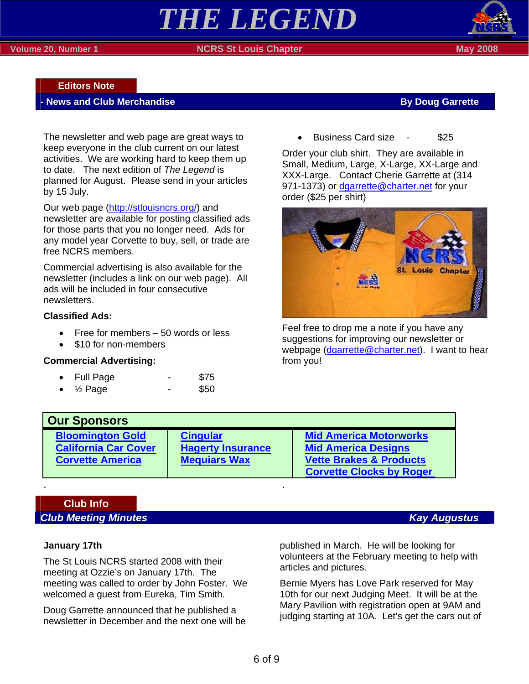#### **Volume 20, Number 1 NCRS St Louis Chapter May 2008**



### **Editors Note**

#### **News and Club Merchandise By Doug Garrette By Doug Garrette**

The newsletter and web page are great ways to keep everyone in the club current on our latest activities. We are working hard to keep them up to date. The next edition of *The Legend* is planned for August. Please send in your articles by 15 July.

Our web page (http://stlouisncrs.org/) and newsletter are available for posting classified ads for those parts that you no longer need. Ads for any model year Corvette to buy, sell, or trade are free NCRS members.

Commercial advertising is also available for the newsletter (includes a link on our web page). All ads will be included in four consecutive newsletters.

#### **Classified Ads:**

- Free for members 50 words or less
- \$10 for non-members

#### **Commercial Advertising:**

| <b>Full Page</b> | \$75 |
|------------------|------|
|                  |      |

 $\frac{1}{2}$  Page - \$50

• Business Card size - \$25

Order your club shirt. They are available in Small, Medium, Large, X-Large, XX-Large and XXX-Large. Contact Cherie Garrette at (314 971-1373) or dgarrette@charter.net for your order (\$25 per shirt)



Feel free to drop me a note if you have any suggestions for improving our newsletter or webpage (dgarrette@charter.net). I want to hear from you!

| <b>Our Sponsors</b>         |                          |                                    |
|-----------------------------|--------------------------|------------------------------------|
| <b>Bloomington Gold</b>     | <b>Cingular</b>          | <b>Mid America Motorworks</b>      |
| <b>California Car Cover</b> | <b>Hagerty Insurance</b> | <b>Mid America Designs</b>         |
| <b>Corvette America</b>     | <b>Mequiars Wax</b>      | <b>Vette Brakes &amp; Products</b> |
|                             |                          | <b>Corvette Clocks by Roger</b>    |

## **Club Info**  *Club Meeting Minutes* Kay Augustus *Club Meeting Minutes*

#### **January 17th**

The St Louis NCRS started 2008 with their meeting at Ozzie's on January 17th. The meeting was called to order by John Foster. We welcomed a guest from Eureka, Tim Smith.

. .

Doug Garrette announced that he published a newsletter in December and the next one will be published in March. He will be looking for volunteers at the February meeting to help with articles and pictures.

Bernie Myers has Love Park reserved for May 10th for our next Judging Meet. It will be at the Mary Pavilion with registration open at 9AM and judging starting at 10A. Let's get the cars out of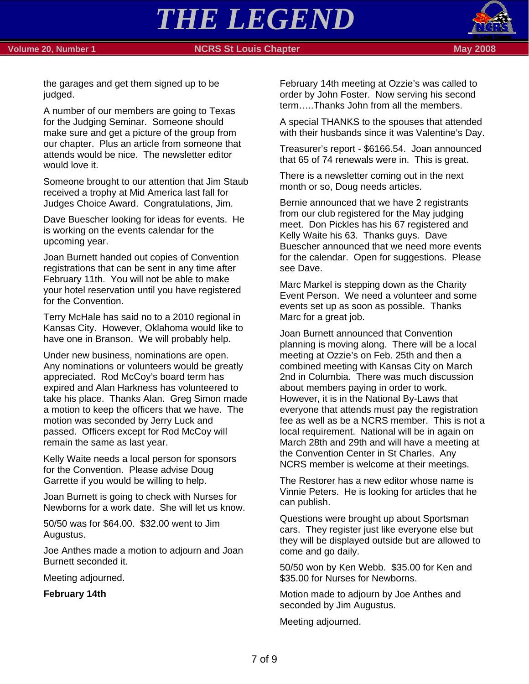#### **Volume 20, Number 1 NCRS St Louis Chapter May 2008 May 2008**



the garages and get them signed up to be judged.

A number of our members are going to Texas for the Judging Seminar. Someone should make sure and get a picture of the group from our chapter. Plus an article from someone that attends would be nice. The newsletter editor would love it.

Someone brought to our attention that Jim Staub received a trophy at Mid America last fall for Judges Choice Award. Congratulations, Jim.

Dave Buescher looking for ideas for events. He is working on the events calendar for the upcoming year.

Joan Burnett handed out copies of Convention registrations that can be sent in any time after February 11th. You will not be able to make your hotel reservation until you have registered for the Convention.

Terry McHale has said no to a 2010 regional in Kansas City. However, Oklahoma would like to have one in Branson. We will probably help.

Under new business, nominations are open. Any nominations or volunteers would be greatly appreciated. Rod McCoy's board term has expired and Alan Harkness has volunteered to take his place. Thanks Alan. Greg Simon made a motion to keep the officers that we have. The motion was seconded by Jerry Luck and passed. Officers except for Rod McCoy will remain the same as last year.

Kelly Waite needs a local person for sponsors for the Convention. Please advise Doug Garrette if you would be willing to help.

Joan Burnett is going to check with Nurses for Newborns for a work date. She will let us know.

50/50 was for \$64.00. \$32.00 went to Jim Augustus.

Joe Anthes made a motion to adjourn and Joan Burnett seconded it.

Meeting adjourned.

**February 14th** 

February 14th meeting at Ozzie's was called to order by John Foster. Now serving his second term…..Thanks John from all the members.

A special THANKS to the spouses that attended with their husbands since it was Valentine's Day.

Treasurer's report - \$6166.54. Joan announced that 65 of 74 renewals were in. This is great.

There is a newsletter coming out in the next month or so, Doug needs articles.

Bernie announced that we have 2 registrants from our club registered for the May judging meet. Don Pickles has his 67 registered and Kelly Waite his 63. Thanks guys. Dave Buescher announced that we need more events for the calendar. Open for suggestions. Please see Dave.

Marc Markel is stepping down as the Charity Event Person. We need a volunteer and some events set up as soon as possible. Thanks Marc for a great job.

Joan Burnett announced that Convention planning is moving along. There will be a local meeting at Ozzie's on Feb. 25th and then a combined meeting with Kansas City on March 2nd in Columbia. There was much discussion about members paying in order to work. However, it is in the National By-Laws that everyone that attends must pay the registration fee as well as be a NCRS member. This is not a local requirement. National will be in again on March 28th and 29th and will have a meeting at the Convention Center in St Charles. Any NCRS member is welcome at their meetings.

The Restorer has a new editor whose name is Vinnie Peters. He is looking for articles that he can publish.

Questions were brought up about Sportsman cars. They register just like everyone else but they will be displayed outside but are allowed to come and go daily.

50/50 won by Ken Webb. \$35.00 for Ken and \$35.00 for Nurses for Newborns.

Motion made to adjourn by Joe Anthes and seconded by Jim Augustus.

Meeting adjourned.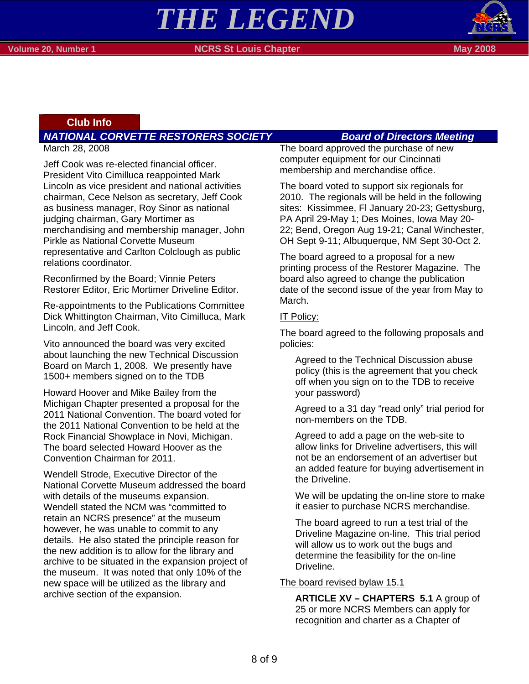# *THE LEGEND*



#### **Club Info**

### *NATIONAL CORVETTE RESTORERS SOCIETY Board of Directors Meeting*

March 28, 2008

Jeff Cook was re-elected financial officer. President Vito Cimilluca reappointed Mark Lincoln as vice president and national activities chairman, Cece Nelson as secretary, Jeff Cook as business manager, Roy Sinor as national judging chairman, Gary Mortimer as merchandising and membership manager, John Pirkle as National Corvette Museum representative and Carlton Colclough as public relations coordinator.

Reconfirmed by the Board; Vinnie Peters Restorer Editor, Eric Mortimer Driveline Editor.

Re-appointments to the Publications Committee Dick Whittington Chairman, Vito Cimilluca, Mark Lincoln, and Jeff Cook.

Vito announced the board was very excited about launching the new Technical Discussion Board on March 1, 2008. We presently have 1500+ members signed on to the TDB

Howard Hoover and Mike Bailey from the Michigan Chapter presented a proposal for the 2011 National Convention. The board voted for the 2011 National Convention to be held at the Rock Financial Showplace in Novi, Michigan. The board selected Howard Hoover as the Convention Chairman for 2011.

Wendell Strode, Executive Director of the National Corvette Museum addressed the board with details of the museums expansion. Wendell stated the NCM was "committed to retain an NCRS presence" at the museum however, he was unable to commit to any details. He also stated the principle reason for the new addition is to allow for the library and archive to be situated in the expansion project of the museum. It was noted that only 10% of the new space will be utilized as the library and archive section of the expansion.

The board approved the purchase of new computer equipment for our Cincinnati membership and merchandise office.

The board voted to support six regionals for 2010. The regionals will be held in the following sites: Kissimmee, Fl January 20-23; Gettysburg, PA April 29-May 1; Des Moines, Iowa May 20- 22; Bend, Oregon Aug 19-21; Canal Winchester, OH Sept 9-11; Albuquerque, NM Sept 30-Oct 2.

The board agreed to a proposal for a new printing process of the Restorer Magazine. The board also agreed to change the publication date of the second issue of the year from May to March.

#### IT Policy:

The board agreed to the following proposals and policies:

Agreed to the Technical Discussion abuse policy (this is the agreement that you check off when you sign on to the TDB to receive your password)

Agreed to a 31 day "read only" trial period for non-members on the TDB.

Agreed to add a page on the web-site to allow links for Driveline advertisers, this will not be an endorsement of an advertiser but an added feature for buying advertisement in the Driveline.

We will be updating the on-line store to make it easier to purchase NCRS merchandise.

The board agreed to run a test trial of the Driveline Magazine on-line. This trial period will allow us to work out the bugs and determine the feasibility for the on-line Driveline.

#### The board revised bylaw 15.1

**ARTICLE XV – CHAPTERS 5.1** A group of 25 or more NCRS Members can apply for recognition and charter as a Chapter of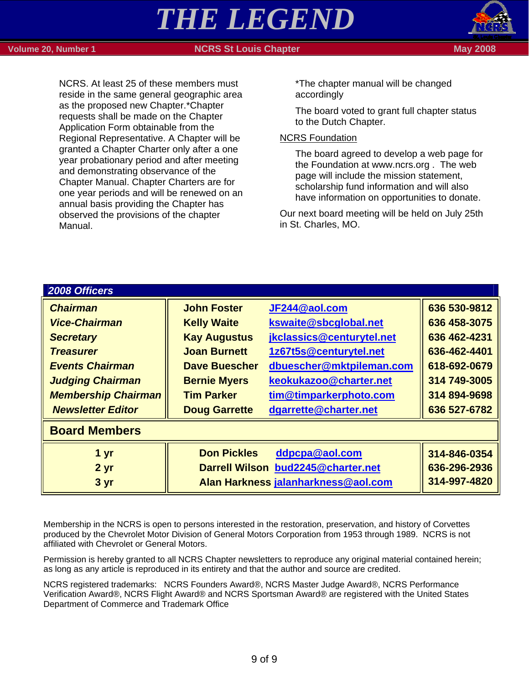Manual.

NCRS. At least 25 of these members must reside in the same general geographic area as the proposed new Chapter.\*Chapter requests shall be made on the Chapter Application Form obtainable from the Regional Representative. A Chapter will be granted a Chapter Charter only after a one year probationary period and after meeting and demonstrating observance of the Chapter Manual. Chapter Charters are for one year periods and will be renewed on an annual basis providing the Chapter has observed the provisions of the chapter

#### **Volume 20, Number 1 NGRS St Louis Chapter May 2008 May 2008**



\*The chapter manual will be changed accordingly

The board voted to grant full chapter status to the Dutch Chapter.

#### NCRS Foundation

The board agreed to develop a web page for the Foundation at www.ncrs.org . The web page will include the mission statement, scholarship fund information and will also have information on opportunities to donate.

Our next board meeting will be held on July 25th in St. Charles, MO.

| 2008 Officers              |                      |                                     |              |
|----------------------------|----------------------|-------------------------------------|--------------|
| <b>Chairman</b>            | <b>John Foster</b>   | JF244@aol.com                       | 636 530-9812 |
| <b>Vice-Chairman</b>       | <b>Kelly Waite</b>   | kswaite@sbcglobal.net               | 636 458-3075 |
| <b>Secretary</b>           | <b>Kay Augustus</b>  | jkclassics@centurytel.net           | 636 462-4231 |
| <b>Treasurer</b>           | <b>Joan Burnett</b>  | 1z67t5s@centurytel.net              | 636-462-4401 |
| <b>Events Chairman</b>     | <b>Dave Buescher</b> | dbuescher@mktpileman.com            | 618-692-0679 |
| <b>Judging Chairman</b>    | <b>Bernie Myers</b>  | keokukazoo@charter.net              | 314 749-3005 |
| <b>Membership Chairman</b> | <b>Tim Parker</b>    | tim@timparkerphoto.com              | 314 894-9698 |
| <b>Newsletter Editor</b>   | <b>Doug Garrette</b> | dgarrette@charter.net               | 636 527-6782 |
| <b>Board Members</b>       |                      |                                     |              |
| 1 yr                       | <b>Don Pickles</b>   | ddpcpa@aol.com                      | 314-846-0354 |
| 2 <sub>yr</sub>            |                      | Darrell Wilson bud2245@charter.net  | 636-296-2936 |
| 3 yr                       |                      | Alan Harkness jalanharkness@aol.com | 314-997-4820 |

Membership in the NCRS is open to persons interested in the restoration, preservation, and history of Corvettes produced by the Chevrolet Motor Division of General Motors Corporation from 1953 through 1989. NCRS is not affiliated with Chevrolet or General Motors.

Permission is hereby granted to all NCRS Chapter newsletters to reproduce any original material contained herein; as long as any article is reproduced in its entirety and that the author and source are credited.

NCRS registered trademarks: NCRS Founders Award®, NCRS Master Judge Award®, NCRS Performance Verification Award®, NCRS Flight Award® and NCRS Sportsman Award® are registered with the United States Department of Commerce and Trademark Office